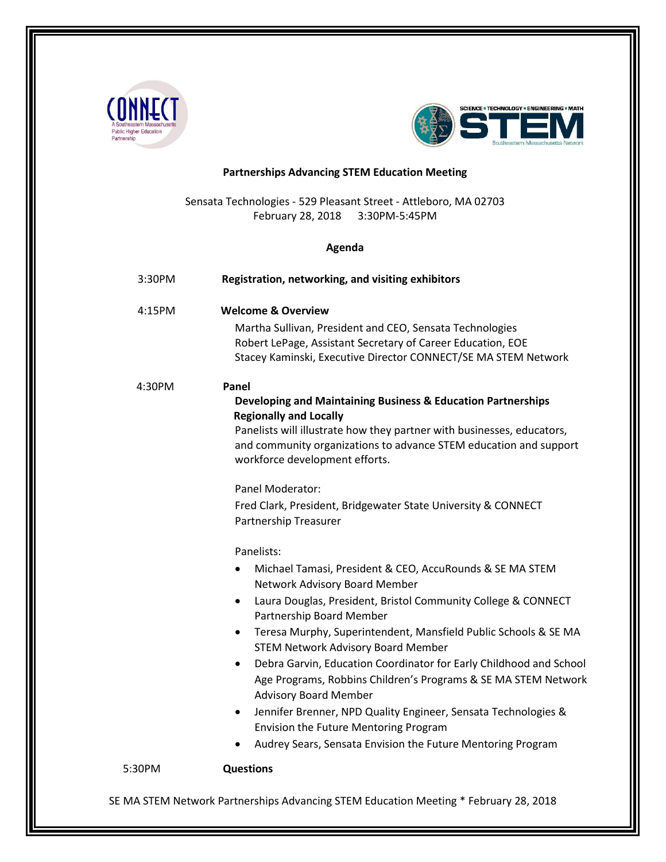



# **Partnerships Advancing STEM Education Meeting**

Sensata Technologies - 529 Pleasant Street - Attleboro, MA 02703 February 28, 2018 3:30PM-5:45PM

## **Agenda**

| 3:30PM | Registration, networking, and visiting exhibitors                                                                                                                                         |
|--------|-------------------------------------------------------------------------------------------------------------------------------------------------------------------------------------------|
| 4:15PM | <b>Welcome &amp; Overview</b>                                                                                                                                                             |
|        | Martha Sullivan, President and CEO, Sensata Technologies<br>Robert LePage, Assistant Secretary of Career Education, EOE<br>Stacey Kaminski, Executive Director CONNECT/SE MA STEM Network |
| 4:30PM | Panel                                                                                                                                                                                     |
|        | Developing and Maintaining Business & Education Partnerships<br><b>Regionally and Locally</b>                                                                                             |
|        | Panelists will illustrate how they partner with businesses, educators,<br>and community organizations to advance STEM education and support<br>workforce development efforts.             |
|        | Panel Moderator:                                                                                                                                                                          |
|        | Fred Clark, President, Bridgewater State University & CONNECT<br>Partnership Treasurer                                                                                                    |
|        | Panelists:                                                                                                                                                                                |
|        | Michael Tamasi, President & CEO, AccuRounds & SE MA STEM                                                                                                                                  |
|        | Network Advisory Board Member                                                                                                                                                             |
|        | Laura Douglas, President, Bristol Community College & CONNECT<br>$\bullet$<br>Partnership Board Member                                                                                    |
|        | Teresa Murphy, Superintendent, Mansfield Public Schools & SE MA<br>$\bullet$<br><b>STEM Network Advisory Board Member</b>                                                                 |
|        | Debra Garvin, Education Coordinator for Early Childhood and School<br>$\bullet$                                                                                                           |
|        | Age Programs, Robbins Children's Programs & SE MA STEM Network<br><b>Advisory Board Member</b>                                                                                            |
|        | Jennifer Brenner, NPD Quality Engineer, Sensata Technologies &<br>$\bullet$                                                                                                               |
|        | <b>Envision the Future Mentoring Program</b>                                                                                                                                              |
|        | Audrey Sears, Sensata Envision the Future Mentoring Program                                                                                                                               |
| 5:30PM | <b>Questions</b>                                                                                                                                                                          |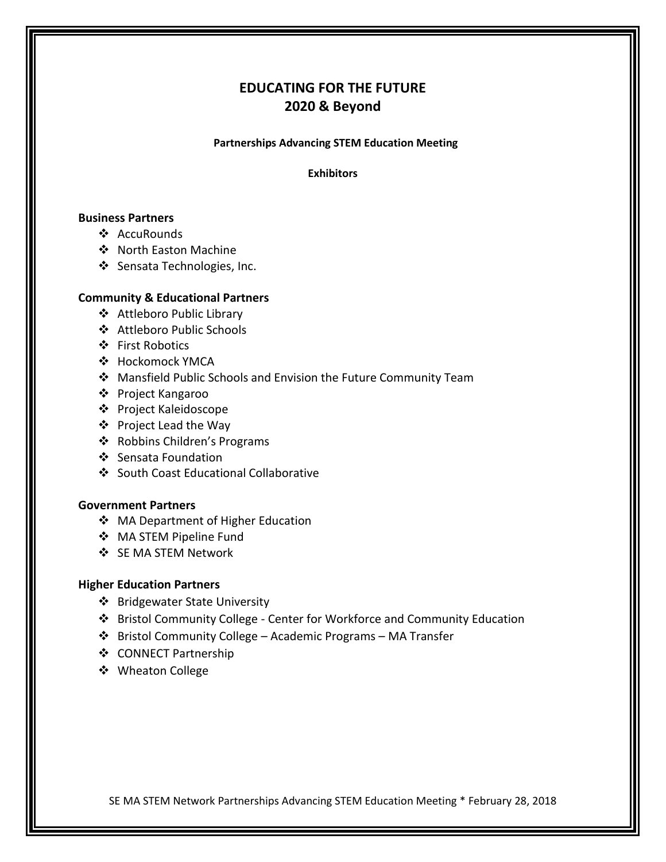# **EDUCATING FOR THE FUTURE 2020 & Beyond**

**Partnerships Advancing STEM Education Meeting**

**Exhibitors**

# **Business Partners**

- ❖ AccuRounds
- ❖ North Easton Machine
- Sensata Technologies, Inc.

# **Community & Educational Partners**

- Attleboro Public Library
- Attleboro Public Schools
- ❖ First Robotics
- Hockomock YMCA
- Mansfield Public Schools and Envision the Future Community Team
- ❖ Project Kangaroo
- ❖ Project Kaleidoscope
- ❖ Project Lead the Way
- Robbins Children's Programs
- ❖ Sensata Foundation
- South Coast Educational Collaborative

## **Government Partners**

- ◆ MA Department of Higher Education
- MA STEM Pipeline Fund
- SE MA STEM Network

## **Higher Education Partners**

- ❖ Bridgewater State University
- Bristol Community College Center for Workforce and Community Education
- Bristol Community College Academic Programs MA Transfer
- ❖ CONNECT Partnership
- ❖ Wheaton College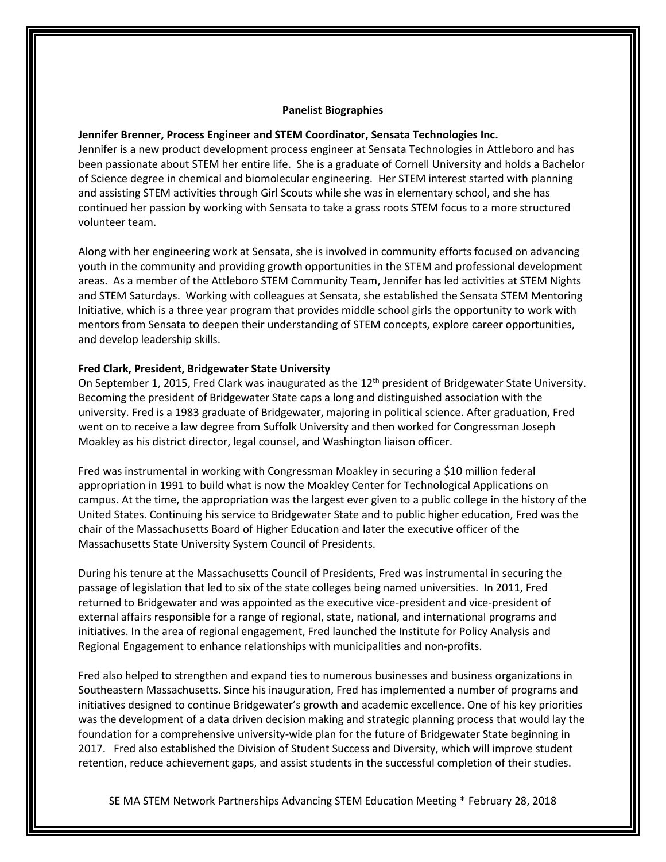#### **Panelist Biographies**

#### **Jennifer Brenner, Process Engineer and STEM Coordinator, Sensata Technologies Inc.**

Jennifer is a new product development process engineer at Sensata Technologies in Attleboro and has been passionate about STEM her entire life. She is a graduate of Cornell University and holds a Bachelor of Science degree in chemical and biomolecular engineering. Her STEM interest started with planning and assisting STEM activities through Girl Scouts while she was in elementary school, and she has continued her passion by working with Sensata to take a grass roots STEM focus to a more structured volunteer team.

Along with her engineering work at Sensata, she is involved in community efforts focused on advancing youth in the community and providing growth opportunities in the STEM and professional development areas. As a member of the Attleboro STEM Community Team, Jennifer has led activities at STEM Nights and STEM Saturdays. Working with colleagues at Sensata, she established the Sensata STEM Mentoring Initiative, which is a three year program that provides middle school girls the opportunity to work with mentors from Sensata to deepen their understanding of STEM concepts, explore career opportunities, and develop leadership skills.

#### **Fred Clark, President, Bridgewater State University**

On September 1, 2015, Fred Clark was inaugurated as the 12<sup>th</sup> president of Bridgewater State University. Becoming the president of Bridgewater State caps a long and distinguished association with the university. Fred is a 1983 graduate of Bridgewater, majoring in political science. After graduation, Fred went on to receive a law degree from Suffolk University and then worked for Congressman Joseph Moakley as his district director, legal counsel, and Washington liaison officer.

Fred was instrumental in working with Congressman Moakley in securing a \$10 million federal appropriation in 1991 to build what is now the Moakley Center for Technological Applications on campus. At the time, the appropriation was the largest ever given to a public college in the history of the United States. Continuing his service to Bridgewater State and to public higher education, Fred was the chair of the Massachusetts Board of Higher Education and later the executive officer of the Massachusetts State University System Council of Presidents.

During his tenure at the Massachusetts Council of Presidents, Fred was instrumental in securing the passage of legislation that led to six of the state colleges being named universities. In 2011, Fred returned to Bridgewater and was appointed as the executive vice-president and vice-president of external affairs responsible for a range of regional, state, national, and international programs and initiatives. In the area of regional engagement, Fred launched the Institute for Policy Analysis and Regional Engagement to enhance relationships with municipalities and non-profits.

Fred also helped to strengthen and expand ties to numerous businesses and business organizations in Southeastern Massachusetts. Since his inauguration, Fred has implemented a number of programs and initiatives designed to continue Bridgewater's growth and academic excellence. One of his key priorities was the development of a data driven decision making and strategic planning process that would lay the foundation for a comprehensive university-wide plan for the future of Bridgewater State beginning in 2017. Fred also established the Division of Student Success and Diversity, which will improve student retention, reduce achievement gaps, and assist students in the successful completion of their studies.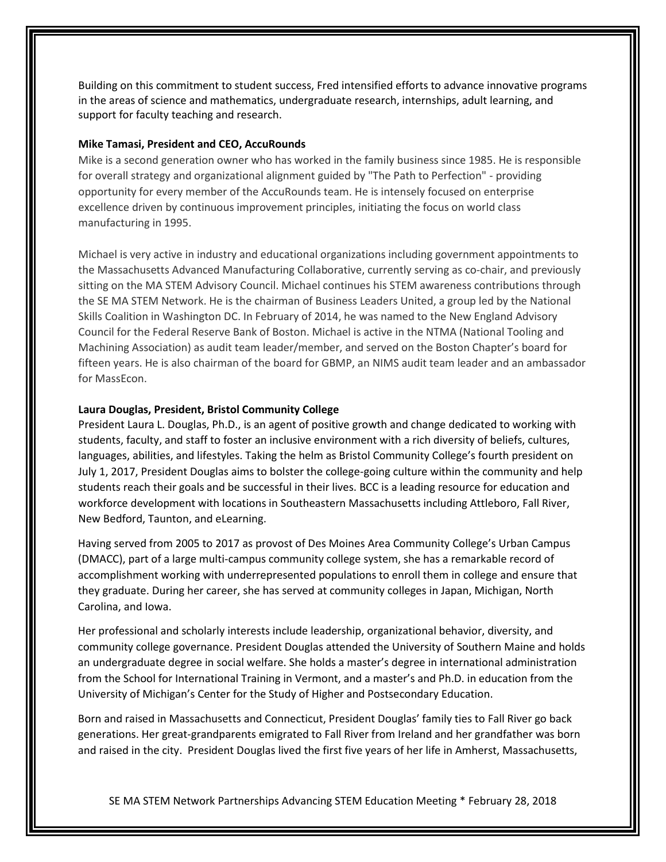Building on this commitment to student success, Fred intensified efforts to advance innovative programs in the areas of science and mathematics, undergraduate research, internships, adult learning, and support for faculty teaching and research.

### **Mike Tamasi, President and CEO, AccuRounds**

Mike is a second generation owner who has worked in the family business since 1985. He is responsible for overall strategy and organizational alignment guided by "The Path to Perfection" - providing opportunity for every member of the AccuRounds team. He is intensely focused on enterprise excellence driven by continuous improvement principles, initiating the focus on world class manufacturing in 1995.

Michael is very active in industry and educational organizations including government appointments to the Massachusetts Advanced Manufacturing Collaborative, currently serving as co-chair, and previously sitting on the MA STEM Advisory Council. Michael continues his STEM awareness contributions through the SE MA STEM Network. He is the chairman of Business Leaders United, a group led by the National Skills Coalition in Washington DC. In February of 2014, he was named to the New England Advisory Council for the Federal Reserve Bank of Boston. Michael is active in the NTMA (National Tooling and Machining Association) as audit team leader/member, and served on the Boston Chapter's board for fifteen years. He is also chairman of the board for GBMP, an NIMS audit team leader and an ambassador for MassEcon.

## **Laura Douglas, President, Bristol Community College**

President Laura L. Douglas, Ph.D., is an agent of positive growth and change dedicated to working with students, faculty, and staff to foster an inclusive environment with a rich diversity of beliefs, cultures, languages, abilities, and lifestyles. Taking the helm as Bristol Community College's fourth president on July 1, 2017, President Douglas aims to bolster the college-going culture within the community and help students reach their goals and be successful in their lives. BCC is a leading resource for education and workforce development with locations in Southeastern Massachusetts including Attleboro, Fall River, New Bedford, Taunton, and eLearning.

Having served from 2005 to 2017 as provost of Des Moines Area Community College's Urban Campus (DMACC), part of a large multi-campus community college system, she has a remarkable record of accomplishment working with underrepresented populations to enroll them in college and ensure that they graduate. During her career, she has served at community colleges in Japan, Michigan, North Carolina, and Iowa.

Her professional and scholarly interests include leadership, organizational behavior, diversity, and community college governance. President Douglas attended the University of Southern Maine and holds an undergraduate degree in social welfare. She holds a master's degree in international administration from the School for International Training in Vermont, and a master's and Ph.D. in education from the University of Michigan's Center for the Study of Higher and Postsecondary Education.

Born and raised in Massachusetts and Connecticut, President Douglas' family ties to Fall River go back generations. Her great-grandparents emigrated to Fall River from Ireland and her grandfather was born and raised in the city. President Douglas lived the first five years of her life in Amherst, Massachusetts,